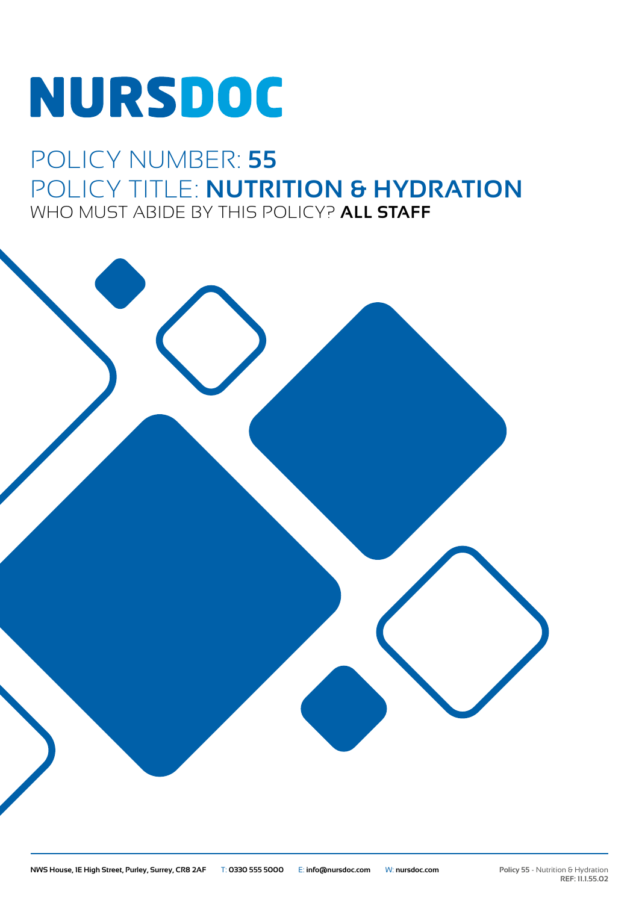# **NURSDOC**

### POLICY NUMBER: **55** POLICY TITLE: **NUTRITION & HYDRATION** WHO MUST ABIDE BY THIS POLICY? **ALL STAFF**